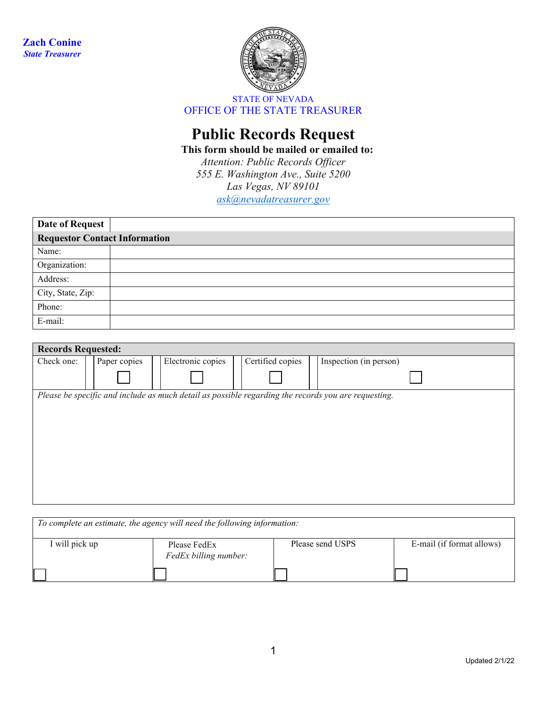

## **Public Records Request**

**This form should be mailed or emailed to:**

*Attention: Public Records Officer 555 E. Washington Ave., Suite 5200 Las Vegas, NV 89101 [ask@nevadatreasurer.gov](mailto:ask@nevadatreasurer.gov)*

| <b>Date of Request</b>               |  |  |  |  |  |  |
|--------------------------------------|--|--|--|--|--|--|
| <b>Requestor Contact Information</b> |  |  |  |  |  |  |
| Name:                                |  |  |  |  |  |  |
| Organization:                        |  |  |  |  |  |  |
| Address:                             |  |  |  |  |  |  |
| City, State, Zip:                    |  |  |  |  |  |  |
| Phone:                               |  |  |  |  |  |  |
| E-mail:                              |  |  |  |  |  |  |

| <b>Records Requested:</b> |  |              |  |                   |  |                  |                                                                                                     |
|---------------------------|--|--------------|--|-------------------|--|------------------|-----------------------------------------------------------------------------------------------------|
| Check one:                |  | Paper copies |  | Electronic copies |  | Certified copies | Inspection (in person)                                                                              |
|                           |  |              |  |                   |  |                  |                                                                                                     |
|                           |  |              |  |                   |  |                  | Please be specific and include as much detail as possible regarding the records you are requesting. |
|                           |  |              |  |                   |  |                  |                                                                                                     |
|                           |  |              |  |                   |  |                  |                                                                                                     |
|                           |  |              |  |                   |  |                  |                                                                                                     |
|                           |  |              |  |                   |  |                  |                                                                                                     |
|                           |  |              |  |                   |  |                  |                                                                                                     |
|                           |  |              |  |                   |  |                  |                                                                                                     |
|                           |  |              |  |                   |  |                  |                                                                                                     |
|                           |  |              |  |                   |  |                  |                                                                                                     |
|                           |  |              |  |                   |  |                  |                                                                                                     |

| To complete an estimate, the agency will need the following information: |                                       |                  |                           |  |  |  |  |
|--------------------------------------------------------------------------|---------------------------------------|------------------|---------------------------|--|--|--|--|
| I will pick up                                                           | Please FedEx<br>FedEx billing number: | Please send USPS | E-mail (if format allows) |  |  |  |  |
|                                                                          |                                       |                  |                           |  |  |  |  |